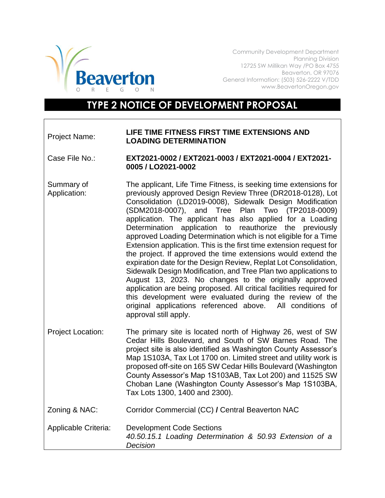

Community Development Department Planning Division 12725 SW Millikan Way /PO Box 4755 Beaverton, OR 97076 General Information: (503) 526-2222 V/TDD www.BeavertonOregon.gov

## **TYPE 2 NOTICE OF DEVELOPMENT PROPOSAL**

## Project Name: **LIFE TIME FITNESS FIRST TIME EXTENSIONS AND LOADING DETERMINATION**

- Case File No.: **EXT2021-0002 / EXT2021-0003 / EXT2021-0004 / EXT2021- 0005 / LO2021-0002**
- Summary of Application: The applicant, Life Time Fitness, is seeking time extensions for previously approved Design Review Three (DR2018-0128), Lot Consolidation (LD2019-0008), Sidewalk Design Modification (SDM2018-0007), and Tree Plan Two (TP2018-0009) application. The applicant has also applied for a Loading Determination application to reauthorize the previously approved Loading Determination which is not eligible for a Time Extension application. This is the first time extension request for the project. If approved the time extensions would extend the expiration date for the Design Review, Replat Lot Consolidation, Sidewalk Design Modification, and Tree Plan two applications to August 13, 2023. No changes to the originally approved application are being proposed. All critical facilities required for this development were evaluated during the review of the original applications referenced above. All conditions of approval still apply.
- Project Location: The primary site is located north of Highway 26, west of SW Cedar Hills Boulevard, and South of SW Barnes Road. The project site is also identified as Washington County Assessor's Map 1S103A, Tax Lot 1700 on. Limited street and utility work is proposed off-site on 165 SW Cedar Hills Boulevard (Washington County Assessor's Map 1S103AB, Tax Lot 200) and 11525 SW Choban Lane (Washington County Assessor's Map 1S103BA, Tax Lots 1300, 1400 and 2300).
- Zoning & NAC: Corridor Commercial (CC) **/** Central Beaverton NAC
- Applicable Criteria: Development Code Sections *40.50.15.1 Loading Determination & 50.93 Extension of a Decision*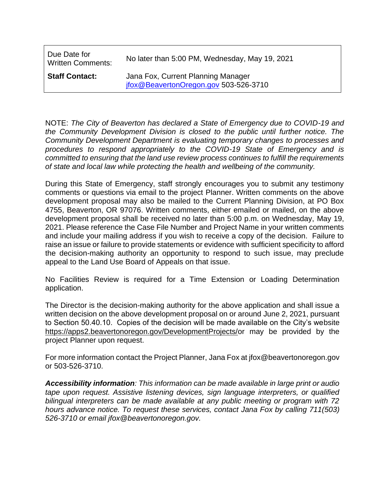| Due Date for<br><b>Written Comments:</b> | No later than 5:00 PM, Wednesday, May 19, 2021                              |
|------------------------------------------|-----------------------------------------------------------------------------|
| <b>Staff Contact:</b>                    | Jana Fox, Current Planning Manager<br>jfox@BeavertonOregon.gov 503-526-3710 |

NOTE: *The City of Beaverton has declared a State of Emergency due to COVID-19 and the Community Development Division is closed to the public until further notice. The Community Development Department is evaluating temporary changes to processes and procedures to respond appropriately to the COVID-19 State of Emergency and is committed to ensuring that the land use review process continues to fulfill the requirements of state and local law while protecting the health and wellbeing of the community.*

During this State of Emergency, staff strongly encourages you to submit any testimony comments or questions via email to the project Planner. Written comments on the above development proposal may also be mailed to the Current Planning Division, at PO Box 4755, Beaverton, OR 97076. Written comments, either emailed or mailed, on the above development proposal shall be received no later than 5:00 p.m. on Wednesday, May 19, 2021. Please reference the Case File Number and Project Name in your written comments and include your mailing address if you wish to receive a copy of the decision. Failure to raise an issue or failure to provide statements or evidence with sufficient specificity to afford the decision-making authority an opportunity to respond to such issue, may preclude appeal to the Land Use Board of Appeals on that issue.

No Facilities Review is required for a Time Extension or Loading Determination application.

The Director is the decision-making authority for the above application and shall issue a written decision on the above development proposal on or around June 2, 2021, pursuant to Section 50.40.10. Copies of the decision will be made available on the City's website https://apps2.beavertonoregon.gov/DevelopmentProjects/or may be provided by the project Planner upon request.

For more information contact the Project Planner, Jana Fox at jfox@beavertonoregon.gov or 503-526-3710.

*Accessibility information: This information can be made available in large print or audio tape upon request. Assistive listening devices, sign language interpreters, or qualified bilingual interpreters can be made available at any public meeting or program with 72 hours advance notice. To request these services, contact Jana Fox by calling 711(503) 526-3710 or email jfox@beavertonoregon.gov.*